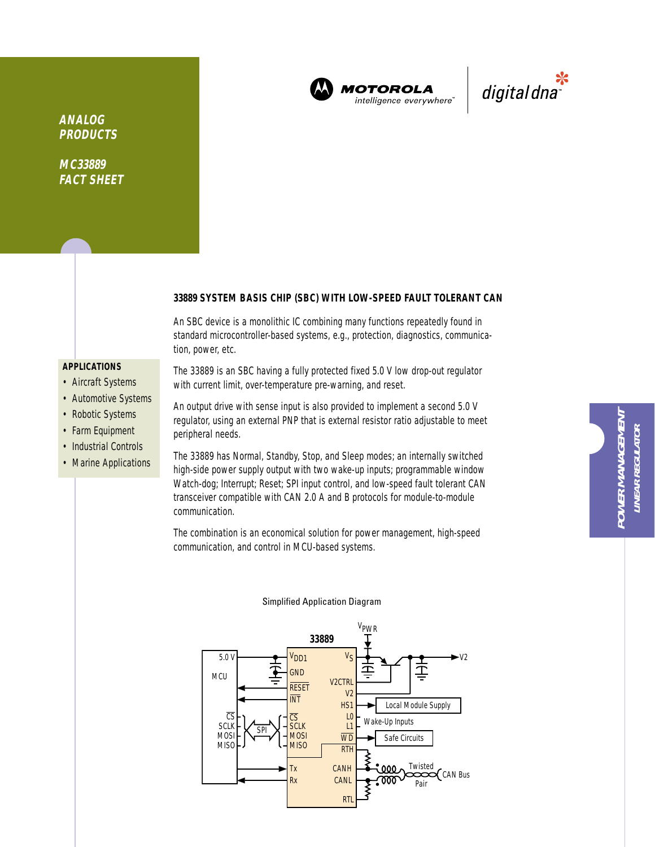

**MOTOROLA** intelligence everywhere"



**ANALOG PRODUCTS**

**MC33889 FACT SHEET**

## **33889 SYSTEM BASIS CHIP (SBC) WITH LOW-SPEED FAULT TOLERANT CAN**

An SBC device is a monolithic IC combining many functions repeatedly found in standard microcontroller-based systems, e.g., protection, diagnostics, communication, power, etc.

## **APPLICATIONS**

- Aircraft Systems
- Automotive Systems
- Robotic Systems
- Farm Equipment
- Industrial Controls
- Marine Applications

The 33889 is an SBC having a fully protected fixed 5.0 V low drop-out regulator with current limit, over-temperature pre-warning, and reset.

An output drive with sense input is also provided to implement a second 5.0 V regulator, using an external PNP that is external resistor ratio adjustable to meet peripheral needs.

The 33889 has Normal, Standby, Stop, and Sleep modes; an internally switched high-side power supply output with two wake-up inputs; programmable window Watch-dog; Interrupt; Reset; SPI input control, and low-speed fault tolerant CAN transceiver compatible with CAN 2.0 A and B protocols for module-to-module communication.

The combination is an economical solution for power management, high-speed communication, and control in MCU-based systems.

**POWER MANAGEMENT LINEAR REGULATOR**

**LINEAR REGULATOR** 



#### Simplified Application Diagram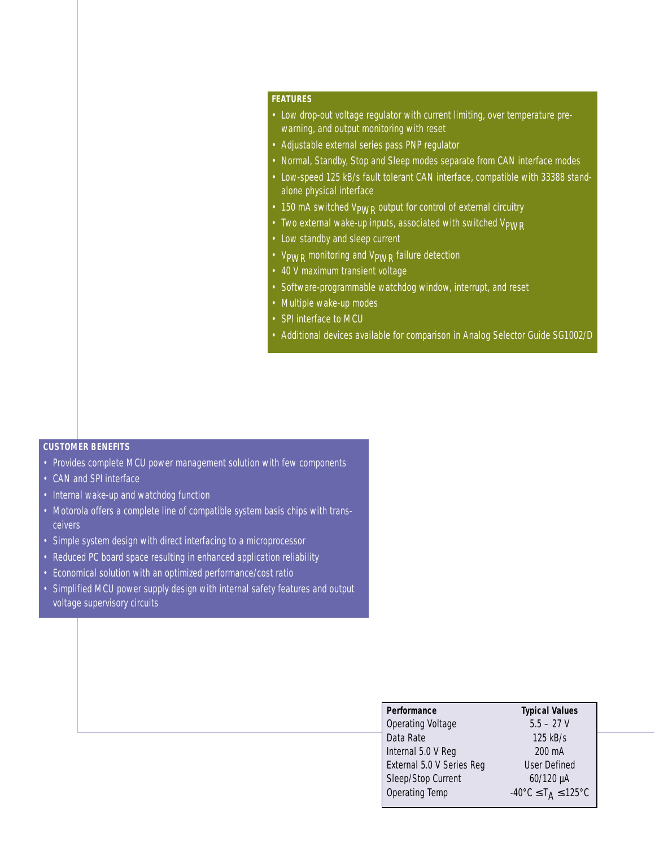## **FEATURES**

- Low drop-out voltage regulator with current limiting, over temperature prewarning, and output monitoring with reset
- Adjustable external series pass PNP regulator
- Normal, Standby, Stop and Sleep modes separate from CAN interface modes
- Low-speed 125 kB/s fault tolerant CAN interface, compatible with 33388 standalone physical interface
- 150 mA switched V<sub>PWR</sub> output for control of external circuitry
- Two external wake-up inputs, associated with switched V<sub>PWR</sub>
- Low standby and sleep current
- V<sub>PWR</sub> monitoring and V<sub>PWR</sub> failure detection
- 40 V maximum transient voltage
- Software-programmable watchdog window, interrupt, and reset
- Multiple wake-up modes
- SPI interface to MCU
- Additional devices available for comparison in Analog Selector Guide SG1002/D

# **CUSTOMER BENEFITS**

- Provides complete MCU power management solution with few components
- CAN and SPI interface
- Internal wake-up and watchdog function
- Motorola offers a complete line of compatible system basis chips with transceivers
- Simple system design with direct interfacing to a microprocessor
- Reduced PC board space resulting in enhanced application reliability
- Economical solution with an optimized performance/cost ratio
- Simplified MCU power supply design with internal safety features and output voltage supervisory circuits

| Performance                      | <b>Typical Values</b>                                         |
|----------------------------------|---------------------------------------------------------------|
| <b>Operating Voltage</b>         | $5.5 - 27$ V                                                  |
| Data Rate                        | 125 kB/s                                                      |
| Internal 5.0 V Reg               | 200 mA                                                        |
| <b>External 5.0 V Series Reg</b> | User Defined                                                  |
| Sleep/Stop Current               | 60/120 µA                                                     |
| Operating Temp                   | $-40^{\circ}$ C $\leq$ T <sub>A</sub> $\leq$ 125 $^{\circ}$ C |
|                                  |                                                               |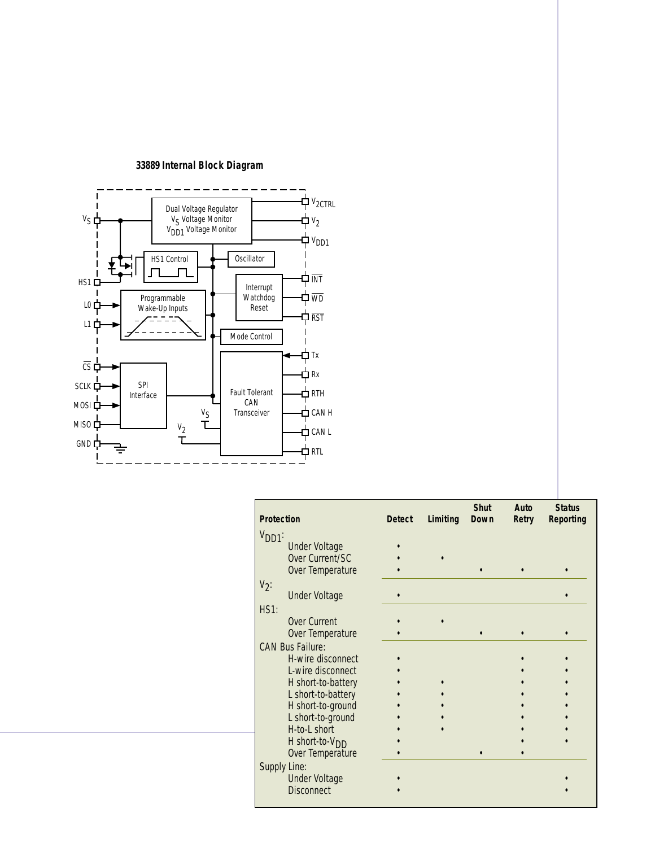

## **Shut Auto Status Protection Detect Limiting Down Retry Reporting**  $V<sub>DD1</sub>$ : Under Voltage **•** Over Current/SC • Over Temperature •  $V_2$ : Under Voltage **•** HS1: Over Current • • Over Temperature • •• • CAN Bus Failure: H-wire disconnect • L-wire disconnect • •• H short-to-battery •• •• L short-to-battery •• •• H short-to-ground L short-to-ground •• •• H-to-L short H short-to-VDD • •• Over Temperature Supply Line: Under Voltage • • Disconnect • •

**33889 Internal Block Diagram**